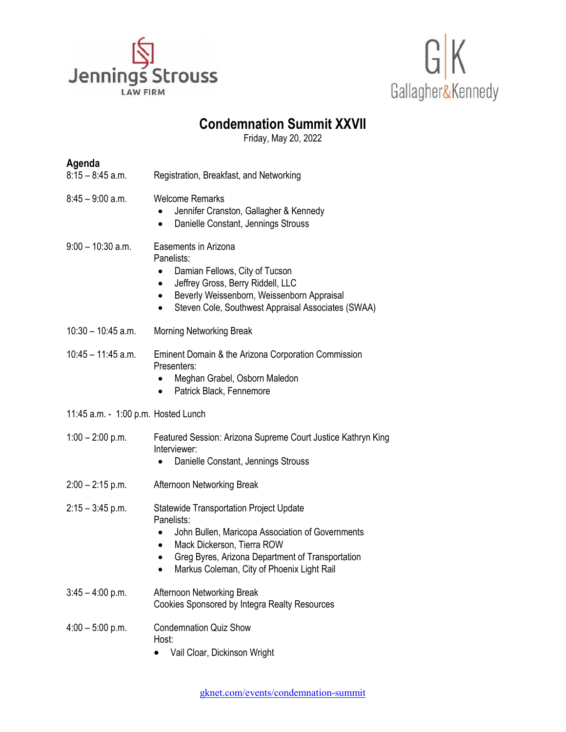



## **Condemnation Summit XXVII**

Friday, May 20, 2022

| Agenda                              |                                                                                                                                                                                                                                                                            |
|-------------------------------------|----------------------------------------------------------------------------------------------------------------------------------------------------------------------------------------------------------------------------------------------------------------------------|
| 8:15 – 8:45 a.m.                    | Registration, Breakfast, and Networking                                                                                                                                                                                                                                    |
| 8:45 – 9:00 a.m.                    | <b>Welcome Remarks</b><br>Jennifer Cranston, Gallagher & Kennedy<br>$\bullet$<br>Danielle Constant, Jennings Strouss<br>$\bullet$                                                                                                                                          |
| $9:00 - 10:30$ a.m.                 | Easements in Arizona<br>Panelists:<br>Damian Fellows, City of Tucson<br>$\bullet$<br>Jeffrey Gross, Berry Riddell, LLC<br>$\bullet$<br>Beverly Weissenborn, Weissenborn Appraisal<br>$\bullet$<br>Steven Cole, Southwest Appraisal Associates (SWAA)                       |
| $10:30 - 10:45$ a.m.                | <b>Morning Networking Break</b>                                                                                                                                                                                                                                            |
| $10:45 - 11:45$ a.m.                | Eminent Domain & the Arizona Corporation Commission<br>Presenters:<br>Meghan Grabel, Osborn Maledon<br>$\bullet$<br>Patrick Black, Fennemore                                                                                                                               |
| 11:45 a.m. - 1:00 p.m. Hosted Lunch |                                                                                                                                                                                                                                                                            |
| $1:00 - 2:00$ p.m.                  | Featured Session: Arizona Supreme Court Justice Kathryn King<br>Interviewer:<br>Danielle Constant, Jennings Strouss                                                                                                                                                        |
| 2:00 - 2:15 p.m.                    | Afternoon Networking Break                                                                                                                                                                                                                                                 |
| 2:15 – 3:45 p.m.                    | <b>Statewide Transportation Project Update</b><br>Panelists:<br>John Bullen, Maricopa Association of Governments<br>$\bullet$<br>Mack Dickerson, Tierra ROW<br>$\bullet$<br>Greg Byres, Arizona Department of Transportation<br>Markus Coleman, City of Phoenix Light Rail |
| $3:45 - 4:00$ p.m.                  | Afternoon Networking Break<br>Cookies Sponsored by Integra Realty Resources                                                                                                                                                                                                |
| $4:00 - 5:00$ p.m.                  | <b>Condemnation Quiz Show</b><br>Host:<br>Vail Cloar, Dickinson Wright                                                                                                                                                                                                     |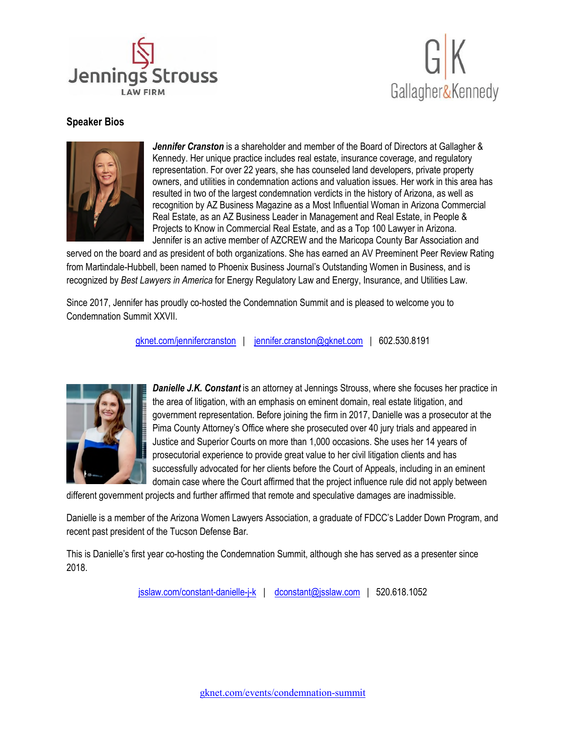



## **Speaker Bios**



Jennifer Cranston is a shareholder and member of the Board of Directors at Gallagher & Kennedy. Her unique practice includes real estate, insurance coverage, and regulatory representation. For over 22 years, she has counseled land developers, private property owners, and utilities in condemnation actions and valuation issues. Her work in this area has resulted in two of the largest condemnation verdicts in the history of Arizona, as well as recognition by AZ Business Magazine as a Most Influential Woman in Arizona Commercial Real Estate, as an AZ Business Leader in Management and Real Estate, in People & Projects to Know in Commercial Real Estate, and as a Top 100 Lawyer in Arizona. Jennifer is an active member of AZCREW and the Maricopa County Bar Association and

served on the board and as president of both organizations. She has earned an AV Preeminent Peer Review Rating from Martindale-Hubbell, been named to Phoenix Business Journal's Outstanding Women in Business, and is recognized by *Best Lawyers in America* for Energy Regulatory Law and Energy, Insurance, and Utilities Law.

Since 2017, Jennifer has proudly co-hosted the Condemnation Summit and is pleased to welcome you to Condemnation Summit XXVII.

[gknet.com/jennifercranston](mailto:gknet.com/jennifercranston) | [jennifer.cranston@gknet.com](mailto:jennifer.cranston@gknet.com) | 602.530.8191



**Danielle J.K. Constant** is an attorney at Jennings Strouss, where she focuses her practice in the area of litigation, with an emphasis on eminent domain, real estate litigation, and government representation. Before joining the firm in 2017, Danielle was a prosecutor at the Pima County Attorney's Office where she prosecuted over 40 jury trials and appeared in Justice and Superior Courts on more than 1,000 occasions. She uses her 14 years of prosecutorial experience to provide great value to her civil litigation clients and has successfully advocated for her clients before the Court of Appeals, including in an eminent domain case where the Court affirmed that the project influence rule did not apply between

different government projects and further affirmed that remote and speculative damages are inadmissible.

Danielle is a member of the Arizona Women Lawyers Association, a graduate of FDCC's Ladder Down Program, and recent past president of the Tucson Defense Bar.

This is Danielle's first year co-hosting the Condemnation Summit, although she has served as a presenter since 2018.

[jsslaw.com/constant-danielle-j-k](mailto:jsslaw.com/constant-danielle-j-k) | [dconstant@jsslaw.com](mailto:dconstant@jsslaw.com) | 520.618.1052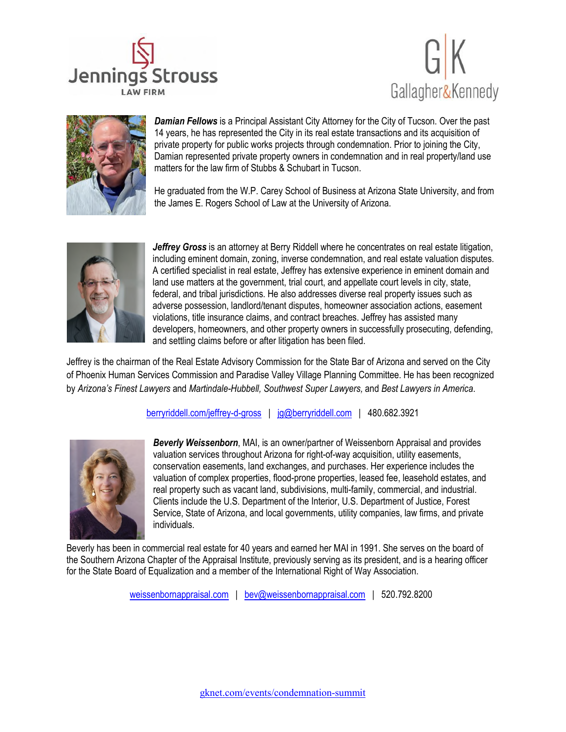





*Damian Fellows* is a Principal Assistant City Attorney for the City of Tucson. Over the past 14 years, he has represented the City in its real estate transactions and its acquisition of private property for public works projects through condemnation. Prior to joining the City, Damian represented private property owners in condemnation and in real property/land use matters for the law firm of Stubbs & Schubart in Tucson.

He graduated from the W.P. Carey School of Business at Arizona State University, and from the James E. Rogers School of Law at the University of Arizona.



*Jeffrey Gross* is an attorney at Berry Riddell where he concentrates on real estate litigation, including eminent domain, zoning, inverse condemnation, and real estate valuation disputes. A certified specialist in real estate, Jeffrey has extensive experience in eminent domain and land use matters at the government, trial court, and appellate court levels in city, state, federal, and tribal jurisdictions. He also addresses diverse real property issues such as adverse possession, landlord/tenant disputes, homeowner association actions, easement violations, title insurance claims, and contract breaches. Jeffrey has assisted many developers, homeowners, and other property owners in successfully prosecuting, defending, and settling claims before or after litigation has been filed.

Jeffrey is the chairman of the Real Estate Advisory Commission for the State Bar of Arizona and served on the City of Phoenix Human Services Commission and Paradise Valley Village Planning Committee. He has been recognized by *Arizona's Finest Lawyers* and *Martindale-Hubbell, Southwest Super Lawyers,* and *Best Lawyers in America*.

[berryriddell.com/jeffrey-d-gross](mailto:berryriddell.com/jeffrey-d-gross) | [jg@berryriddell.com](mailto:jg@berryriddell.com) | 480.682.3921



*Beverly Weissenborn*, MAI, is an owner/partner of Weissenborn Appraisal and provides valuation services throughout Arizona for right-of-way acquisition, utility easements, conservation easements, land exchanges, and purchases. Her experience includes the valuation of complex properties, flood-prone properties, leased fee, leasehold estates, and real property such as vacant land, subdivisions, multi-family, commercial, and industrial. Clients include the U.S. Department of the Interior, U.S. Department of Justice, Forest Service, State of Arizona, and local governments, utility companies, law firms, and private individuals.

Beverly has been in commercial real estate for 40 years and earned her MAI in 1991. She serves on the board of the Southern Arizona Chapter of the Appraisal Institute, previously serving as its president, and is a hearing officer for the State Board of Equalization and a member of the International Right of Way Association.

weissenbornappraisal.com | [bev@weissenbornappraisal.com](mailto:bev@weissenbornappraisal.com) | 520.792.8200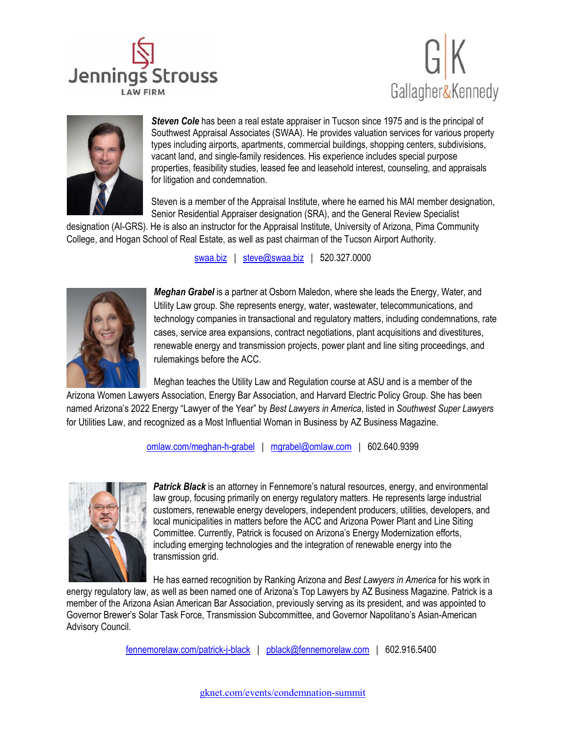





**Steven Cole** has been a real estate appraiser in Tucson since 1975 and is the principal of Southwest Appraisal Associates (SWAA). He provides valuation services for various property types including airports, apartments, commercial buildings, shopping centers, subdivisions, vacant land, and single-family residences. His experience includes special purpose properties, feasibility studies, leased fee and leasehold interest, counseling, and appraisals for litigation and condemnation.

Steven is a member of the Appraisal Institute, where he earned his MAI member designation, Senior Residential Appraiser designation (SRA), and the General Review Specialist

designation (AI-GRS). He is also an instructor for the Appraisal Institute, University of Arizona, Pima Community College, and Hogan School of Real Estate, as well as past chairman of the Tucson Airport Authority.

[swaa.biz](mailto:swaa.biz) | [steve@swaa.biz](mailto:steve@swaa.biz) | 520.327.0000



*Meghan Grabel* is a partner at Osborn Maledon, where she leads the Energy, Water, and Utility Law group. She represents energy, water, wastewater, telecommunications, and technology companies in transactional and regulatory matters, including condemnations, rate cases, service area expansions, contract negotiations, plant acquisitions and divestitures, renewable energy and transmission projects, power plant and line siting proceedings, and rulemakings before the ACC.

Meghan teaches the Utility Law and Regulation course at ASU and is a member of the

Arizona Women Lawyers Association, Energy Bar Association, and Harvard Electric Policy Group. She has been named Arizona's 2022 Energy "Lawyer of the Year" by *Best Lawyers in America*, listed in *Southwest Super Lawyers*  for Utilities Law, and recognized as a Most Influential Woman in Business by AZ Business Magazine.

[omlaw.com/meghan-h-grabel](mailto:omlaw.com/meghan-h-grabel) | [mgrabel@omlaw.com](mailto:mgrabel@omlaw.com) | 602.640.9399



*Patrick Black* is an attorney in Fennemore's natural resources, energy, and environmental law group, focusing primarily on energy regulatory matters. He represents large industrial customers, renewable energy developers, independent producers, utilities, developers, and local municipalities in matters before the ACC and Arizona Power Plant and Line Siting Committee. Currently, Patrick is focused on Arizona's Energy Modernization efforts, including emerging technologies and the integration of renewable energy into the transmission grid.

He has earned recognition by Ranking Arizona and *Best Lawyers in America* for his work in

energy regulatory law, as well as been named one of Arizona's Top Lawyers by AZ Business Magazine. Patrick is a member of the Arizona Asian American Bar Association, previously serving as its president, and was appointed to Governor Brewer's Solar Task Force, Transmission Subcommittee, and Governor Napolitano's Asian-American Advisory Council.

[fennemorelaw.com/patrick-j-black](mailto:fennemorelaw.com/patrick-j-black) | [pblack@fennemorelaw.com](mailto:pblack@fennemorelaw.com) | 602.916.5400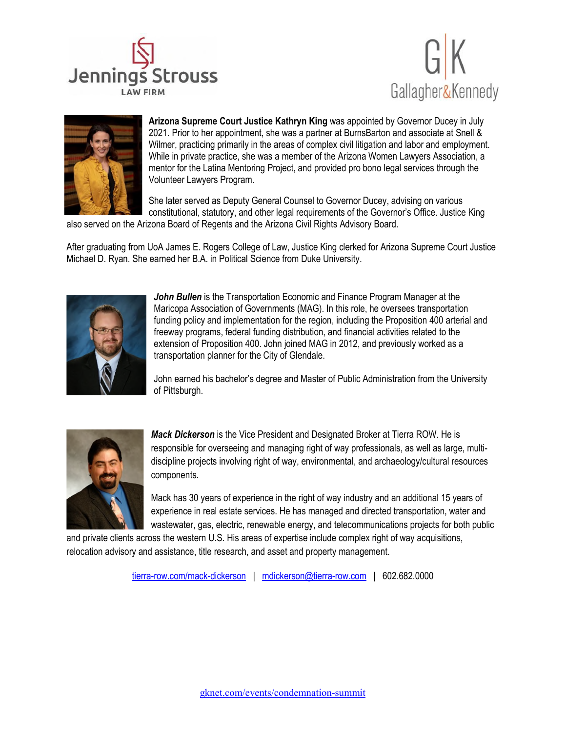





**Arizona Supreme Court Justice Kathryn King** was appointed by Governor Ducey in July 2021. Prior to her appointment, she was a partner at BurnsBarton and associate at Snell & Wilmer, practicing primarily in the areas of complex civil litigation and labor and employment. While in private practice, she was a member of the Arizona Women Lawyers Association, a mentor for the Latina Mentoring Project, and provided pro bono legal services through the Volunteer Lawyers Program.

She later served as Deputy General Counsel to Governor Ducey, advising on various constitutional, statutory, and other legal requirements of the Governor's Office. Justice King

also served on the Arizona Board of Regents and the Arizona Civil Rights Advisory Board.

After graduating from UoA James E. Rogers College of Law, Justice King clerked for Arizona Supreme Court Justice Michael D. Ryan. She earned her B.A. in Political Science from Duke University.



**John Bullen** is the Transportation Economic and Finance Program Manager at the Maricopa Association of Governments (MAG). In this role, he oversees transportation funding policy and implementation for the region, including the Proposition 400 arterial and freeway programs, federal funding distribution, and financial activities related to the extension of Proposition 400. John joined MAG in 2012, and previously worked as a transportation planner for the City of Glendale.

John earned his bachelor's degree and Master of Public Administration from the University of Pittsburgh.



*Mack Dickerson* is the Vice President and Designated Broker at Tierra ROW. He is responsible for overseeing and managing right of way professionals, as well as large, multidiscipline projects involving right of way, environmental, and archaeology/cultural resources components*.* 

Mack has 30 years of experience in the right of way industry and an additional 15 years of experience in real estate services. He has managed and directed transportation, water and wastewater, gas, electric, renewable energy, and telecommunications projects for both public

and private clients across the western U.S. His areas of expertise include complex right of way acquisitions, relocation advisory and assistance, title research, and asset and property management.

[tierra-row.com/mack-dickerson](mailto:tierra-row.com/mack-dickerson) | [mdickerson@tierra-row.com](mailto:mdickerson@tierra-row.com) | 602.682.0000